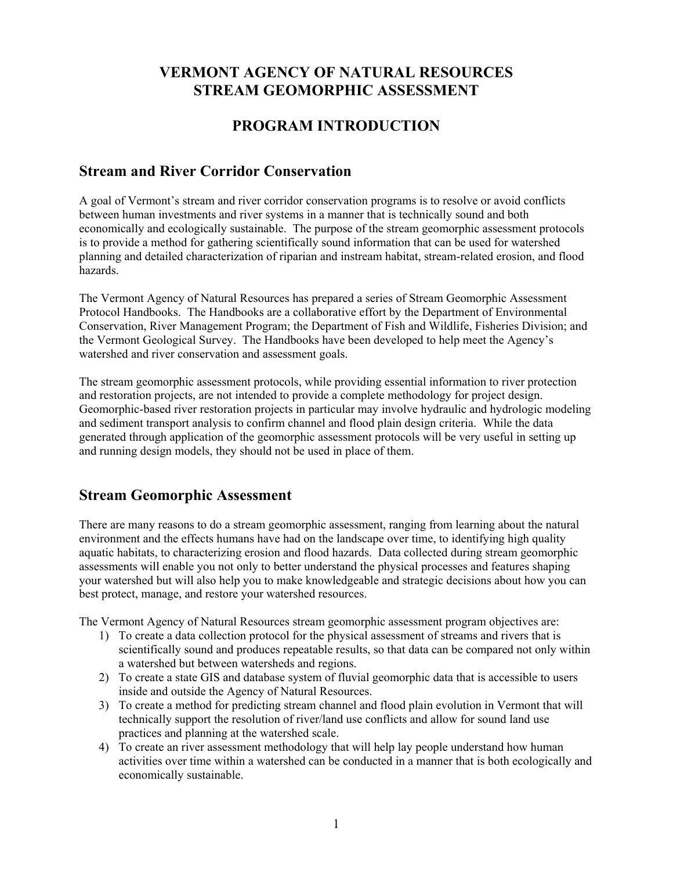# **VERMONT AGENCY OF NATURAL RESOURCES STREAM GEOMORPHIC ASSESSMENT**

# **PROGRAM INTRODUCTION**

## **Stream and River Corridor Conservation**

A goal of Vermont's stream and river corridor conservation programs is to resolve or avoid conflicts between human investments and river systems in a manner that is technically sound and both economically and ecologically sustainable. The purpose of the stream geomorphic assessment protocols is to provide a method for gathering scientifically sound information that can be used for watershed planning and detailed characterization of riparian and instream habitat, stream-related erosion, and flood hazards.

The Vermont Agency of Natural Resources has prepared a series of Stream Geomorphic Assessment Protocol Handbooks. The Handbooks are a collaborative effort by the Department of Environmental Conservation, River Management Program; the Department of Fish and Wildlife, Fisheries Division; and the Vermont Geological Survey. The Handbooks have been developed to help meet the Agency's watershed and river conservation and assessment goals.

The stream geomorphic assessment protocols, while providing essential information to river protection and restoration projects, are not intended to provide a complete methodology for project design. Geomorphic-based river restoration projects in particular may involve hydraulic and hydrologic modeling and sediment transport analysis to confirm channel and flood plain design criteria. While the data generated through application of the geomorphic assessment protocols will be very useful in setting up and running design models, they should not be used in place of them.

## **Stream Geomorphic Assessment**

There are many reasons to do a stream geomorphic assessment, ranging from learning about the natural environment and the effects humans have had on the landscape over time, to identifying high quality aquatic habitats, to characterizing erosion and flood hazards. Data collected during stream geomorphic assessments will enable you not only to better understand the physical processes and features shaping your watershed but will also help you to make knowledgeable and strategic decisions about how you can best protect, manage, and restore your watershed resources.

The Vermont Agency of Natural Resources stream geomorphic assessment program objectives are:

- 1) To create a data collection protocol for the physical assessment of streams and rivers that is scientifically sound and produces repeatable results, so that data can be compared not only within a watershed but between watersheds and regions.
- 2) To create a state GIS and database system of fluvial geomorphic data that is accessible to users inside and outside the Agency of Natural Resources.
- 3) To create a method for predicting stream channel and flood plain evolution in Vermont that will technically support the resolution of river/land use conflicts and allow for sound land use practices and planning at the watershed scale.
- 4) To create an river assessment methodology that will help lay people understand how human activities over time within a watershed can be conducted in a manner that is both ecologically and economically sustainable.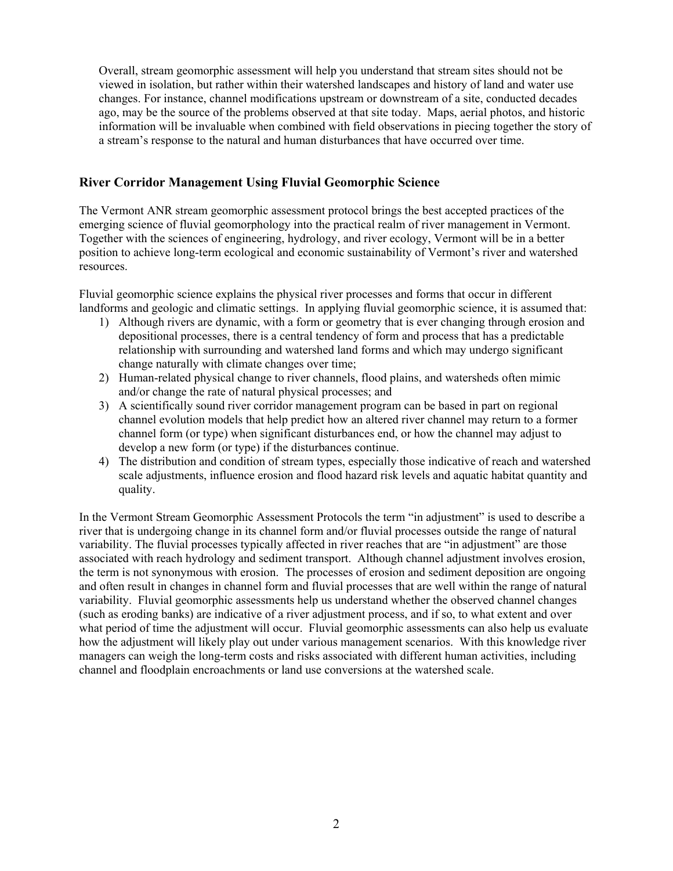Overall, stream geomorphic assessment will help you understand that stream sites should not be viewed in isolation, but rather within their watershed landscapes and history of land and water use changes. For instance, channel modifications upstream or downstream of a site, conducted decades ago, may be the source of the problems observed at that site today. Maps, aerial photos, and historic information will be invaluable when combined with field observations in piecing together the story of a stream's response to the natural and human disturbances that have occurred over time.

### **River Corridor Management Using Fluvial Geomorphic Science**

The Vermont ANR stream geomorphic assessment protocol brings the best accepted practices of the emerging science of fluvial geomorphology into the practical realm of river management in Vermont. Together with the sciences of engineering, hydrology, and river ecology, Vermont will be in a better position to achieve long-term ecological and economic sustainability of Vermont's river and watershed resources.

Fluvial geomorphic science explains the physical river processes and forms that occur in different landforms and geologic and climatic settings. In applying fluvial geomorphic science, it is assumed that:

- 1) Although rivers are dynamic, with a form or geometry that is ever changing through erosion and depositional processes, there is a central tendency of form and process that has a predictable relationship with surrounding and watershed land forms and which may undergo significant change naturally with climate changes over time;
- 2) Human-related physical change to river channels, flood plains, and watersheds often mimic and/or change the rate of natural physical processes; and
- 3) A scientifically sound river corridor management program can be based in part on regional channel evolution models that help predict how an altered river channel may return to a former channel form (or type) when significant disturbances end, or how the channel may adjust to develop a new form (or type) if the disturbances continue.
- 4) The distribution and condition of stream types, especially those indicative of reach and watershed scale adjustments, influence erosion and flood hazard risk levels and aquatic habitat quantity and quality.

In the Vermont Stream Geomorphic Assessment Protocols the term "in adjustment" is used to describe a river that is undergoing change in its channel form and/or fluvial processes outside the range of natural variability. The fluvial processes typically affected in river reaches that are "in adjustment" are those associated with reach hydrology and sediment transport. Although channel adjustment involves erosion, the term is not synonymous with erosion. The processes of erosion and sediment deposition are ongoing and often result in changes in channel form and fluvial processes that are well within the range of natural variability. Fluvial geomorphic assessments help us understand whether the observed channel changes (such as eroding banks) are indicative of a river adjustment process, and if so, to what extent and over what period of time the adjustment will occur. Fluvial geomorphic assessments can also help us evaluate how the adjustment will likely play out under various management scenarios. With this knowledge river managers can weigh the long-term costs and risks associated with different human activities, including channel and floodplain encroachments or land use conversions at the watershed scale.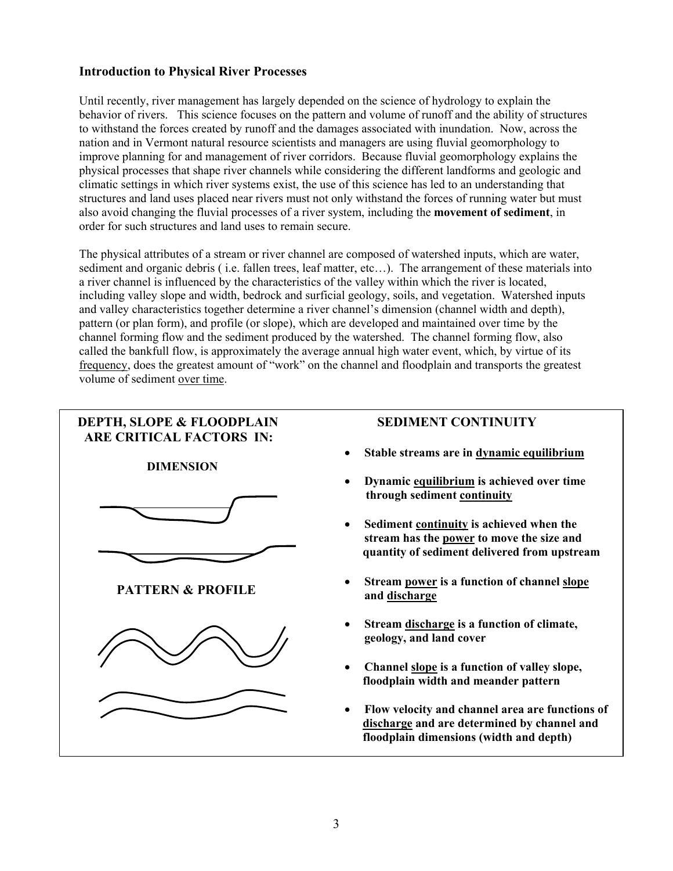### **Introduction to Physical River Processes**

Until recently, river management has largely depended on the science of hydrology to explain the behavior of rivers. This science focuses on the pattern and volume of runoff and the ability of structures to withstand the forces created by runoff and the damages associated with inundation. Now, across the nation and in Vermont natural resource scientists and managers are using fluvial geomorphology to improve planning for and management of river corridors. Because fluvial geomorphology explains the physical processes that shape river channels while considering the different landforms and geologic and climatic settings in which river systems exist, the use of this science has led to an understanding that structures and land uses placed near rivers must not only withstand the forces of running water but must also avoid changing the fluvial processes of a river system, including the **movement of sediment**, in order for such structures and land uses to remain secure.

The physical attributes of a stream or river channel are composed of watershed inputs, which are water, sediment and organic debris ( i.e. fallen trees, leaf matter, etc…). The arrangement of these materials into a river channel is influenced by the characteristics of the valley within which the river is located, including valley slope and width, bedrock and surficial geology, soils, and vegetation. Watershed inputs and valley characteristics together determine a river channel's dimension (channel width and depth), pattern (or plan form), and profile (or slope), which are developed and maintained over time by the channel forming flow and the sediment produced by the watershed. The channel forming flow, also called the bankfull flow, is approximately the average annual high water event, which, by virtue of its frequency, does the greatest amount of "work" on the channel and floodplain and transports the greatest volume of sediment over time.

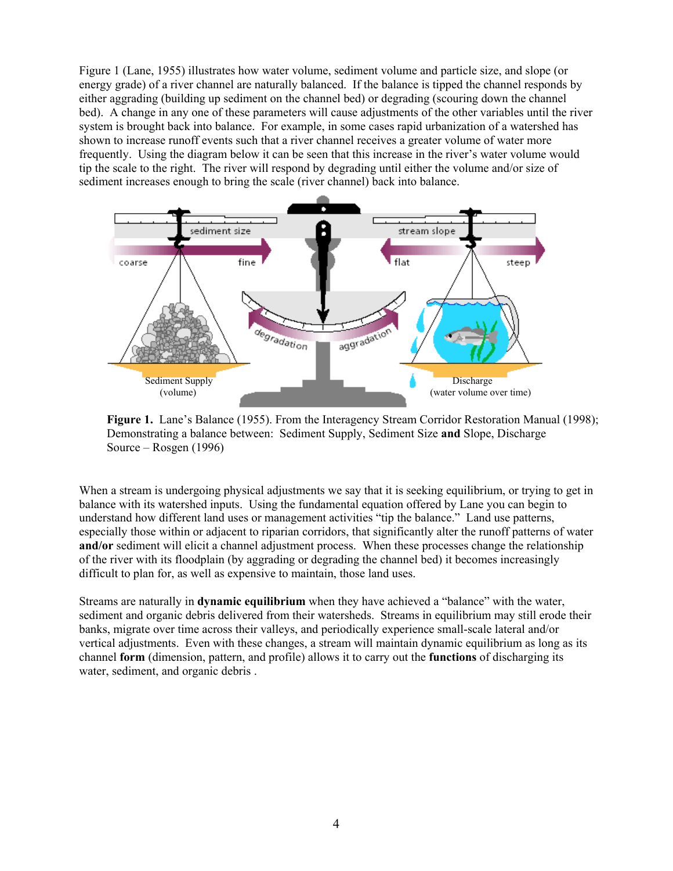Figure 1 (Lane, 1955) illustrates how water volume, sediment volume and particle size, and slope (or energy grade) of a river channel are naturally balanced. If the balance is tipped the channel responds by either aggrading (building up sediment on the channel bed) or degrading (scouring down the channel bed). A change in any one of these parameters will cause adjustments of the other variables until the river system is brought back into balance. For example, in some cases rapid urbanization of a watershed has shown to increase runoff events such that a river channel receives a greater volume of water more frequently. Using the diagram below it can be seen that this increase in the river's water volume would tip the scale to the right. The river will respond by degrading until either the volume and/or size of sediment increases enough to bring the scale (river channel) back into balance.



**Figure 1.** Lane's Balance (1955). From the Interagency Stream Corridor Restoration Manual (1998); Demonstrating a balance between: Sediment Supply, Sediment Size **and** Slope, Discharge Source – Rosgen (1996)

When a stream is undergoing physical adjustments we say that it is seeking equilibrium, or trying to get in balance with its watershed inputs. Using the fundamental equation offered by Lane you can begin to understand how different land uses or management activities "tip the balance." Land use patterns, especially those within or adjacent to riparian corridors, that significantly alter the runoff patterns of water **and/or** sediment will elicit a channel adjustment process. When these processes change the relationship of the river with its floodplain (by aggrading or degrading the channel bed) it becomes increasingly difficult to plan for, as well as expensive to maintain, those land uses.

Streams are naturally in **dynamic equilibrium** when they have achieved a "balance" with the water, sediment and organic debris delivered from their watersheds. Streams in equilibrium may still erode their banks, migrate over time across their valleys, and periodically experience small-scale lateral and/or vertical adjustments. Even with these changes, a stream will maintain dynamic equilibrium as long as its channel **form** (dimension, pattern, and profile) allows it to carry out the **functions** of discharging its water, sediment, and organic debris .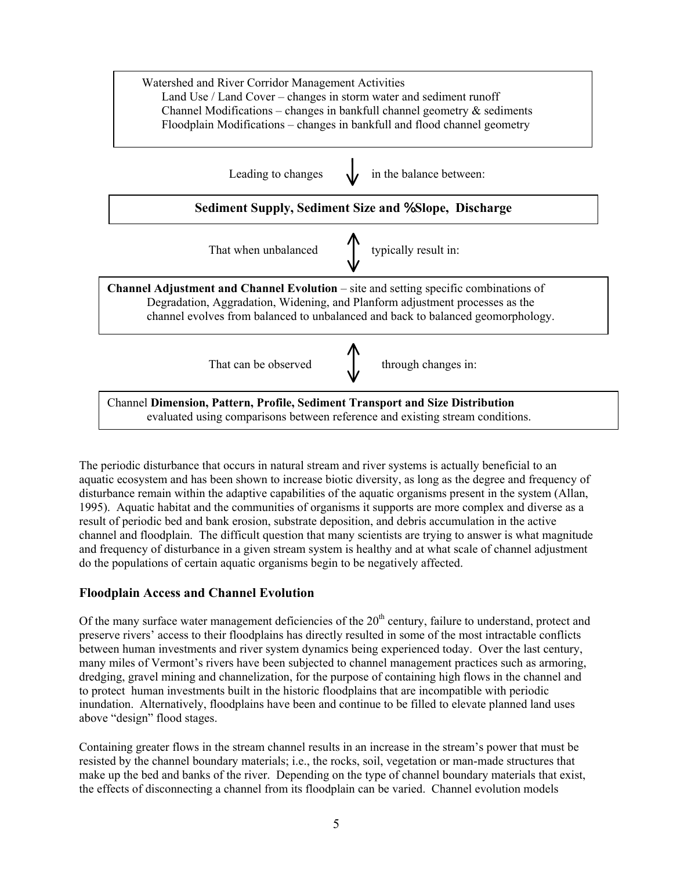

The periodic disturbance that occurs in natural stream and river systems is actually beneficial to an aquatic ecosystem and has been shown to increase biotic diversity, as long as the degree and frequency of disturbance remain within the adaptive capabilities of the aquatic organisms present in the system (Allan, 1995). Aquatic habitat and the communities of organisms it supports are more complex and diverse as a result of periodic bed and bank erosion, substrate deposition, and debris accumulation in the active channel and floodplain. The difficult question that many scientists are trying to answer is what magnitude and frequency of disturbance in a given stream system is healthy and at what scale of channel adjustment do the populations of certain aquatic organisms begin to be negatively affected.

### **Floodplain Access and Channel Evolution**

Of the many surface water management deficiencies of the  $20<sup>th</sup>$  century, failure to understand, protect and preserve rivers' access to their floodplains has directly resulted in some of the most intractable conflicts between human investments and river system dynamics being experienced today. Over the last century, many miles of Vermont's rivers have been subjected to channel management practices such as armoring, dredging, gravel mining and channelization, for the purpose of containing high flows in the channel and to protect human investments built in the historic floodplains that are incompatible with periodic inundation. Alternatively, floodplains have been and continue to be filled to elevate planned land uses above "design" flood stages.

Containing greater flows in the stream channel results in an increase in the stream's power that must be resisted by the channel boundary materials; i.e., the rocks, soil, vegetation or man-made structures that make up the bed and banks of the river. Depending on the type of channel boundary materials that exist, the effects of disconnecting a channel from its floodplain can be varied. Channel evolution models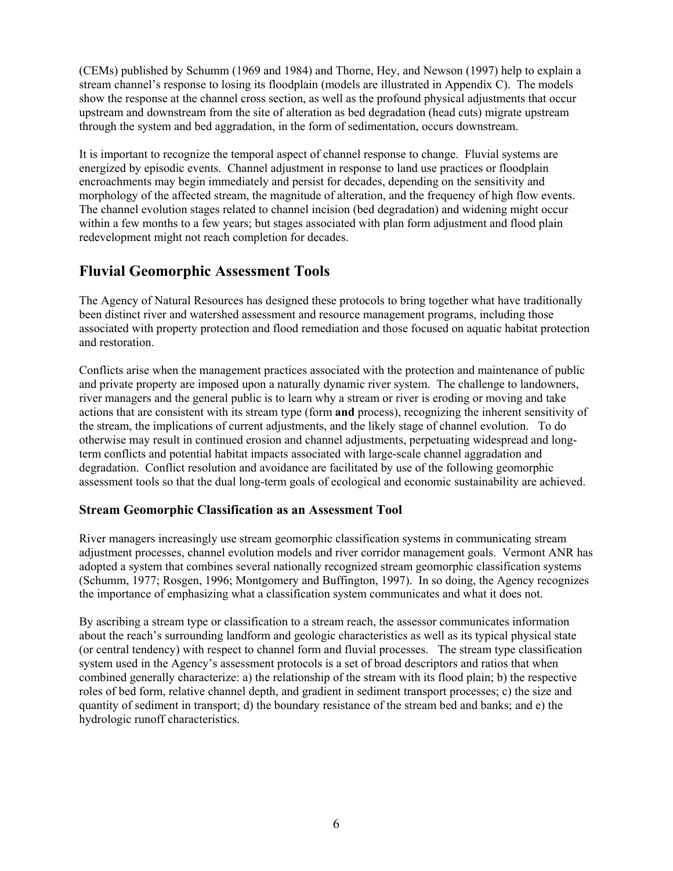(CEMs) published by Schumm (1969 and 1984) and Thorne, Hey, and Newson (1997) help to explain a stream channel's response to losing its floodplain (models are illustrated in Appendix C). The models show the response at the channel cross section, as well as the profound physical adjustments that occur upstream and downstream from the site of alteration as bed degradation (head cuts) migrate upstream through the system and bed aggradation, in the form of sedimentation, occurs downstream.

It is important to recognize the temporal aspect of channel response to change. Fluvial systems are energized by episodic events. Channel adjustment in response to land use practices or floodplain encroachments may begin immediately and persist for decades, depending on the sensitivity and morphology of the affected stream, the magnitude of alteration, and the frequency of high flow events. The channel evolution stages related to channel incision (bed degradation) and widening might occur within a few months to a few years; but stages associated with plan form adjustment and flood plain redevelopment might not reach completion for decades.

## **Fluvial Geomorphic Assessment Tools**

The Agency of Natural Resources has designed these protocols to bring together what have traditionally been distinct river and watershed assessment and resource management programs, including those associated with property protection and flood remediation and those focused on aquatic habitat protection and restoration.

Conflicts arise when the management practices associated with the protection and maintenance of public and private property are imposed upon a naturally dynamic river system. The challenge to landowners, river managers and the general public is to learn why a stream or river is eroding or moving and take actions that are consistent with its stream type (form **and** process), recognizing the inherent sensitivity of the stream, the implications of current adjustments, and the likely stage of channel evolution. To do otherwise may result in continued erosion and channel adjustments, perpetuating widespread and longterm conflicts and potential habitat impacts associated with large-scale channel aggradation and degradation. Conflict resolution and avoidance are facilitated by use of the following geomorphic assessment tools so that the dual long-term goals of ecological and economic sustainability are achieved.

#### **Stream Geomorphic Classification as an Assessment Tool**

River managers increasingly use stream geomorphic classification systems in communicating stream adjustment processes, channel evolution models and river corridor management goals. Vermont ANR has adopted a system that combines several nationally recognized stream geomorphic classification systems (Schumm, 1977; Rosgen, 1996; Montgomery and Buffington, 1997). In so doing, the Agency recognizes the importance of emphasizing what a classification system communicates and what it does not.

By ascribing a stream type or classification to a stream reach, the assessor communicates information about the reach's surrounding landform and geologic characteristics as well as its typical physical state (or central tendency) with respect to channel form and fluvial processes. The stream type classification system used in the Agency's assessment protocols is a set of broad descriptors and ratios that when combined generally characterize: a) the relationship of the stream with its flood plain; b) the respective roles of bed form, relative channel depth, and gradient in sediment transport processes; c) the size and quantity of sediment in transport; d) the boundary resistance of the stream bed and banks; and e) the hydrologic runoff characteristics.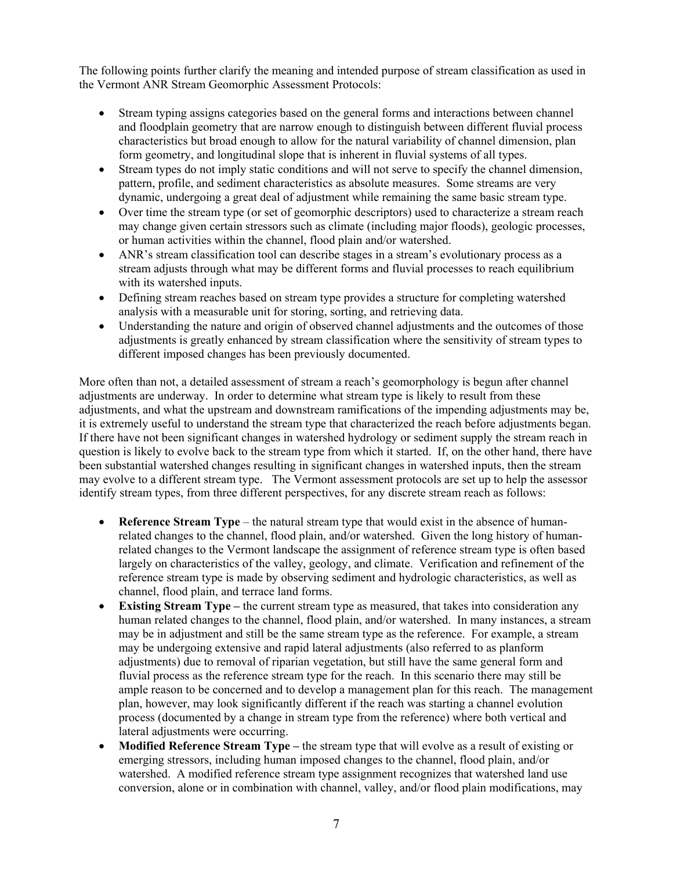The following points further clarify the meaning and intended purpose of stream classification as used in the Vermont ANR Stream Geomorphic Assessment Protocols:

- Stream typing assigns categories based on the general forms and interactions between channel and floodplain geometry that are narrow enough to distinguish between different fluvial process characteristics but broad enough to allow for the natural variability of channel dimension, plan form geometry, and longitudinal slope that is inherent in fluvial systems of all types.
- Stream types do not imply static conditions and will not serve to specify the channel dimension, pattern, profile, and sediment characteristics as absolute measures. Some streams are very dynamic, undergoing a great deal of adjustment while remaining the same basic stream type.
- Over time the stream type (or set of geomorphic descriptors) used to characterize a stream reach may change given certain stressors such as climate (including major floods), geologic processes, or human activities within the channel, flood plain and/or watershed.
- ANR's stream classification tool can describe stages in a stream's evolutionary process as a stream adjusts through what may be different forms and fluvial processes to reach equilibrium with its watershed inputs.
- Defining stream reaches based on stream type provides a structure for completing watershed analysis with a measurable unit for storing, sorting, and retrieving data.
- Understanding the nature and origin of observed channel adjustments and the outcomes of those adjustments is greatly enhanced by stream classification where the sensitivity of stream types to different imposed changes has been previously documented.

More often than not, a detailed assessment of stream a reach's geomorphology is begun after channel adjustments are underway. In order to determine what stream type is likely to result from these adjustments, and what the upstream and downstream ramifications of the impending adjustments may be, it is extremely useful to understand the stream type that characterized the reach before adjustments began. If there have not been significant changes in watershed hydrology or sediment supply the stream reach in question is likely to evolve back to the stream type from which it started. If, on the other hand, there have been substantial watershed changes resulting in significant changes in watershed inputs, then the stream may evolve to a different stream type. The Vermont assessment protocols are set up to help the assessor identify stream types, from three different perspectives, for any discrete stream reach as follows:

- **Reference Stream Type** the natural stream type that would exist in the absence of humanrelated changes to the channel, flood plain, and/or watershed. Given the long history of humanrelated changes to the Vermont landscape the assignment of reference stream type is often based largely on characteristics of the valley, geology, and climate. Verification and refinement of the reference stream type is made by observing sediment and hydrologic characteristics, as well as channel, flood plain, and terrace land forms.
- **Existing Stream Type** the current stream type as measured, that takes into consideration any human related changes to the channel, flood plain, and/or watershed. In many instances, a stream may be in adjustment and still be the same stream type as the reference. For example, a stream may be undergoing extensive and rapid lateral adjustments (also referred to as planform adjustments) due to removal of riparian vegetation, but still have the same general form and fluvial process as the reference stream type for the reach. In this scenario there may still be ample reason to be concerned and to develop a management plan for this reach. The management plan, however, may look significantly different if the reach was starting a channel evolution process (documented by a change in stream type from the reference) where both vertical and lateral adjustments were occurring.
- **Modified Reference Stream Type** the stream type that will evolve as a result of existing or emerging stressors, including human imposed changes to the channel, flood plain, and/or watershed. A modified reference stream type assignment recognizes that watershed land use conversion, alone or in combination with channel, valley, and/or flood plain modifications, may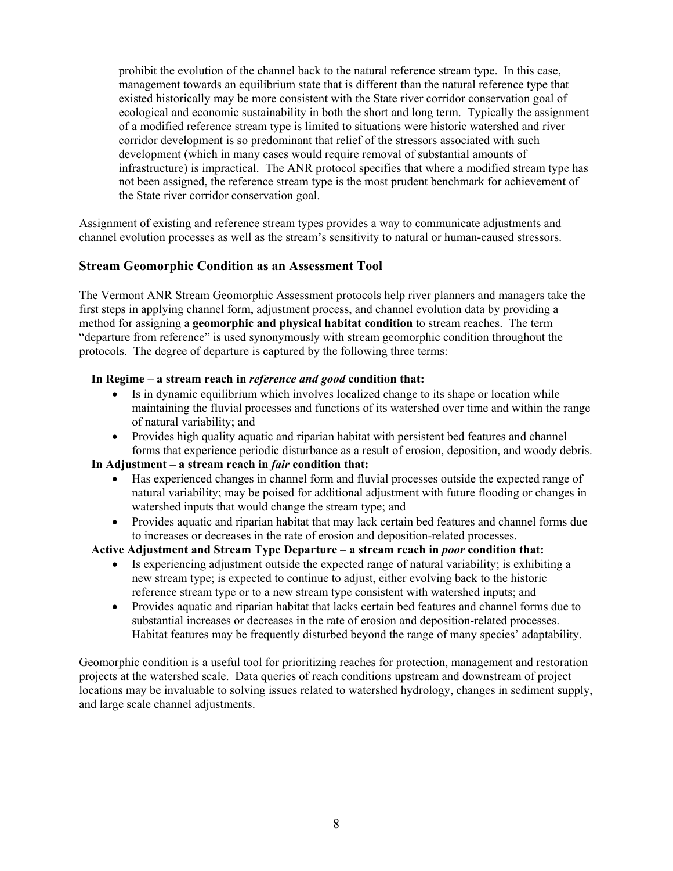prohibit the evolution of the channel back to the natural reference stream type. In this case, management towards an equilibrium state that is different than the natural reference type that existed historically may be more consistent with the State river corridor conservation goal of ecological and economic sustainability in both the short and long term. Typically the assignment of a modified reference stream type is limited to situations were historic watershed and river corridor development is so predominant that relief of the stressors associated with such development (which in many cases would require removal of substantial amounts of infrastructure) is impractical. The ANR protocol specifies that where a modified stream type has not been assigned, the reference stream type is the most prudent benchmark for achievement of the State river corridor conservation goal.

Assignment of existing and reference stream types provides a way to communicate adjustments and channel evolution processes as well as the stream's sensitivity to natural or human-caused stressors.

#### **Stream Geomorphic Condition as an Assessment Tool**

The Vermont ANR Stream Geomorphic Assessment protocols help river planners and managers take the first steps in applying channel form, adjustment process, and channel evolution data by providing a method for assigning a **geomorphic and physical habitat condition** to stream reaches. The term "departure from reference" is used synonymously with stream geomorphic condition throughout the protocols. The degree of departure is captured by the following three terms:

#### **In Regime – a stream reach in** *reference and good* **condition that:**

- Is in dynamic equilibrium which involves localized change to its shape or location while maintaining the fluvial processes and functions of its watershed over time and within the range of natural variability; and
- Provides high quality aquatic and riparian habitat with persistent bed features and channel forms that experience periodic disturbance as a result of erosion, deposition, and woody debris.

#### **In Adjustment – a stream reach in** *fair* **condition that:**

- Has experienced changes in channel form and fluvial processes outside the expected range of natural variability; may be poised for additional adjustment with future flooding or changes in watershed inputs that would change the stream type; and
- Provides aquatic and riparian habitat that may lack certain bed features and channel forms due to increases or decreases in the rate of erosion and deposition-related processes.

#### **Active Adjustment and Stream Type Departure – a stream reach in** *poor* **condition that:**

- Is experiencing adjustment outside the expected range of natural variability; is exhibiting a new stream type; is expected to continue to adjust, either evolving back to the historic reference stream type or to a new stream type consistent with watershed inputs; and
- Provides aquatic and riparian habitat that lacks certain bed features and channel forms due to substantial increases or decreases in the rate of erosion and deposition-related processes. Habitat features may be frequently disturbed beyond the range of many species' adaptability.

Geomorphic condition is a useful tool for prioritizing reaches for protection, management and restoration projects at the watershed scale. Data queries of reach conditions upstream and downstream of project locations may be invaluable to solving issues related to watershed hydrology, changes in sediment supply, and large scale channel adjustments.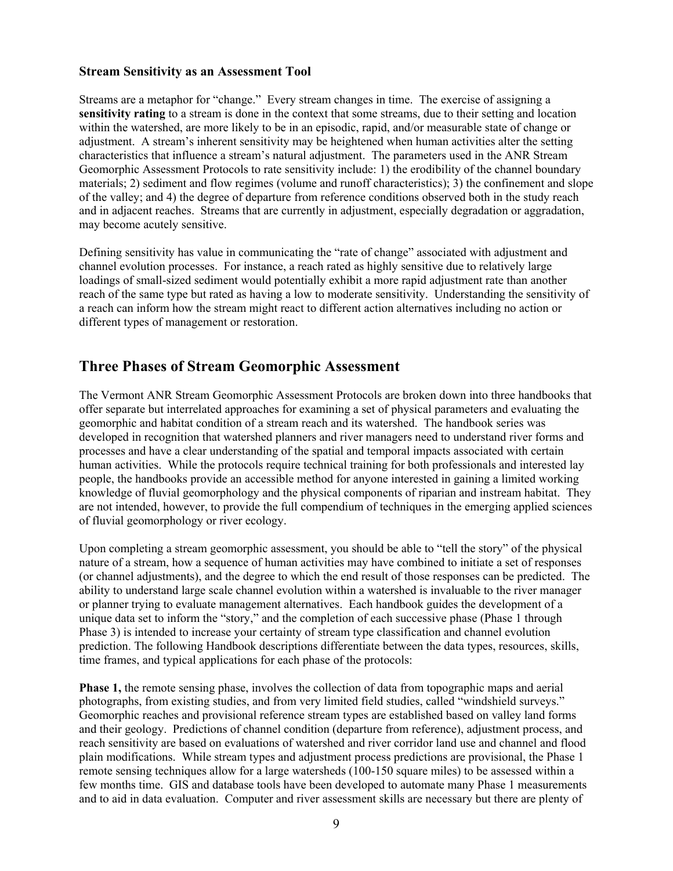#### **Stream Sensitivity as an Assessment Tool**

Streams are a metaphor for "change." Every stream changes in time. The exercise of assigning a **sensitivity rating** to a stream is done in the context that some streams, due to their setting and location within the watershed, are more likely to be in an episodic, rapid, and/or measurable state of change or adjustment. A stream's inherent sensitivity may be heightened when human activities alter the setting characteristics that influence a stream's natural adjustment. The parameters used in the ANR Stream Geomorphic Assessment Protocols to rate sensitivity include: 1) the erodibility of the channel boundary materials; 2) sediment and flow regimes (volume and runoff characteristics); 3) the confinement and slope of the valley; and 4) the degree of departure from reference conditions observed both in the study reach and in adjacent reaches. Streams that are currently in adjustment, especially degradation or aggradation, may become acutely sensitive.

Defining sensitivity has value in communicating the "rate of change" associated with adjustment and channel evolution processes. For instance, a reach rated as highly sensitive due to relatively large loadings of small-sized sediment would potentially exhibit a more rapid adjustment rate than another reach of the same type but rated as having a low to moderate sensitivity. Understanding the sensitivity of a reach can inform how the stream might react to different action alternatives including no action or different types of management or restoration.

### **Three Phases of Stream Geomorphic Assessment**

The Vermont ANR Stream Geomorphic Assessment Protocols are broken down into three handbooks that offer separate but interrelated approaches for examining a set of physical parameters and evaluating the geomorphic and habitat condition of a stream reach and its watershed. The handbook series was developed in recognition that watershed planners and river managers need to understand river forms and processes and have a clear understanding of the spatial and temporal impacts associated with certain human activities. While the protocols require technical training for both professionals and interested lay people, the handbooks provide an accessible method for anyone interested in gaining a limited working knowledge of fluvial geomorphology and the physical components of riparian and instream habitat. They are not intended, however, to provide the full compendium of techniques in the emerging applied sciences of fluvial geomorphology or river ecology.

Upon completing a stream geomorphic assessment, you should be able to "tell the story" of the physical nature of a stream, how a sequence of human activities may have combined to initiate a set of responses (or channel adjustments), and the degree to which the end result of those responses can be predicted. The ability to understand large scale channel evolution within a watershed is invaluable to the river manager or planner trying to evaluate management alternatives. Each handbook guides the development of a unique data set to inform the "story," and the completion of each successive phase (Phase 1 through Phase 3) is intended to increase your certainty of stream type classification and channel evolution prediction. The following Handbook descriptions differentiate between the data types, resources, skills, time frames, and typical applications for each phase of the protocols:

**Phase 1,** the remote sensing phase, involves the collection of data from topographic maps and aerial photographs, from existing studies, and from very limited field studies, called "windshield surveys." Geomorphic reaches and provisional reference stream types are established based on valley land forms and their geology. Predictions of channel condition (departure from reference), adjustment process, and reach sensitivity are based on evaluations of watershed and river corridor land use and channel and flood plain modifications. While stream types and adjustment process predictions are provisional, the Phase 1 remote sensing techniques allow for a large watersheds (100-150 square miles) to be assessed within a few months time. GIS and database tools have been developed to automate many Phase 1 measurements and to aid in data evaluation. Computer and river assessment skills are necessary but there are plenty of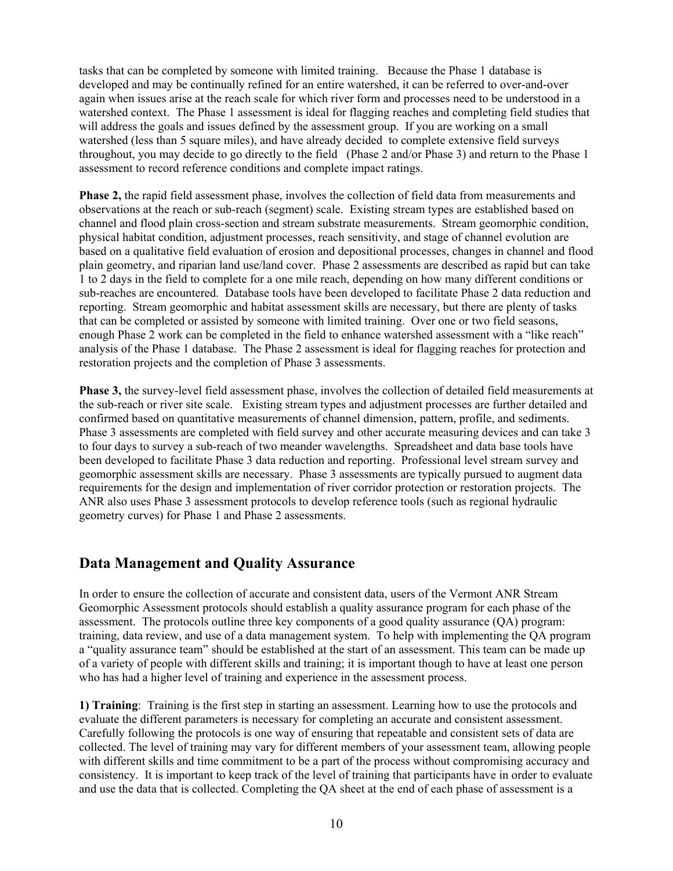tasks that can be completed by someone with limited training. Because the Phase 1 database is developed and may be continually refined for an entire watershed, it can be referred to over-and-over again when issues arise at the reach scale for which river form and processes need to be understood in a watershed context. The Phase 1 assessment is ideal for flagging reaches and completing field studies that will address the goals and issues defined by the assessment group. If you are working on a small watershed (less than 5 square miles), and have already decided to complete extensive field surveys throughout, you may decide to go directly to the field (Phase 2 and/or Phase 3) and return to the Phase 1 assessment to record reference conditions and complete impact ratings.

**Phase 2, the rapid field assessment phase, involves the collection of field data from measurements and** observations at the reach or sub-reach (segment) scale. Existing stream types are established based on channel and flood plain cross-section and stream substrate measurements. Stream geomorphic condition, physical habitat condition, adjustment processes, reach sensitivity, and stage of channel evolution are based on a qualitative field evaluation of erosion and depositional processes, changes in channel and flood plain geometry, and riparian land use/land cover. Phase 2 assessments are described as rapid but can take 1 to 2 days in the field to complete for a one mile reach, depending on how many different conditions or sub-reaches are encountered. Database tools have been developed to facilitate Phase 2 data reduction and reporting. Stream geomorphic and habitat assessment skills are necessary, but there are plenty of tasks that can be completed or assisted by someone with limited training. Over one or two field seasons, enough Phase 2 work can be completed in the field to enhance watershed assessment with a "like reach" analysis of the Phase 1 database. The Phase 2 assessment is ideal for flagging reaches for protection and restoration projects and the completion of Phase 3 assessments.

**Phase 3,** the survey-level field assessment phase, involves the collection of detailed field measurements at the sub-reach or river site scale. Existing stream types and adjustment processes are further detailed and confirmed based on quantitative measurements of channel dimension, pattern, profile, and sediments. Phase 3 assessments are completed with field survey and other accurate measuring devices and can take 3 to four days to survey a sub-reach of two meander wavelengths. Spreadsheet and data base tools have been developed to facilitate Phase 3 data reduction and reporting. Professional level stream survey and geomorphic assessment skills are necessary. Phase 3 assessments are typically pursued to augment data requirements for the design and implementation of river corridor protection or restoration projects. The ANR also uses Phase 3 assessment protocols to develop reference tools (such as regional hydraulic geometry curves) for Phase 1 and Phase 2 assessments.

### **Data Management and Quality Assurance**

In order to ensure the collection of accurate and consistent data, users of the Vermont ANR Stream Geomorphic Assessment protocols should establish a quality assurance program for each phase of the assessment. The protocols outline three key components of a good quality assurance (QA) program: training, data review, and use of a data management system. To help with implementing the QA program a "quality assurance team" should be established at the start of an assessment. This team can be made up of a variety of people with different skills and training; it is important though to have at least one person who has had a higher level of training and experience in the assessment process.

**1) Training**: Training is the first step in starting an assessment. Learning how to use the protocols and evaluate the different parameters is necessary for completing an accurate and consistent assessment. Carefully following the protocols is one way of ensuring that repeatable and consistent sets of data are collected. The level of training may vary for different members of your assessment team, allowing people with different skills and time commitment to be a part of the process without compromising accuracy and consistency. It is important to keep track of the level of training that participants have in order to evaluate and use the data that is collected. Completing the QA sheet at the end of each phase of assessment is a